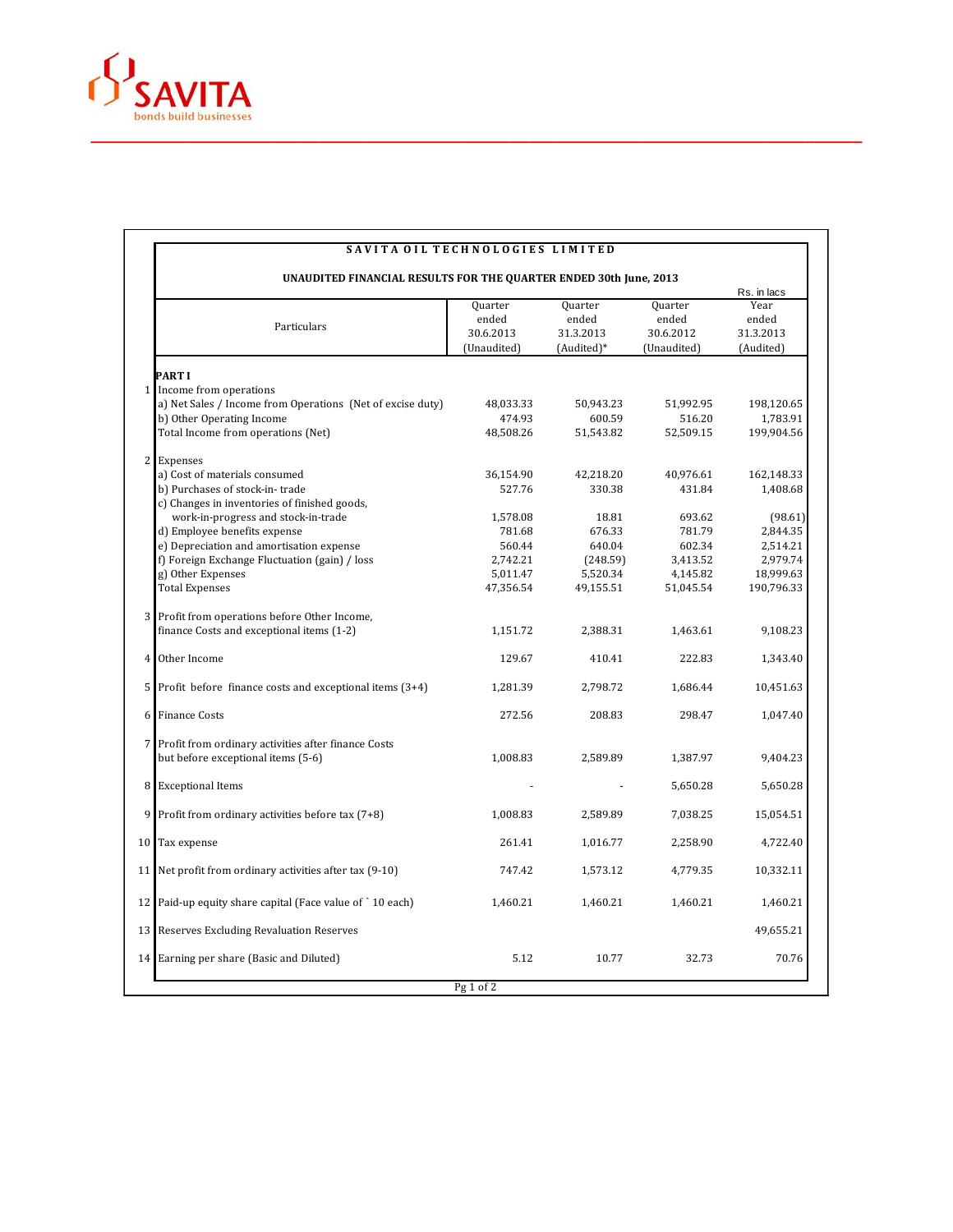

| <b>UNAUDITED FINANCIAL RESULTS FOR THE QUARTER ENDED 30th June, 2013</b><br>Rs. in lacs |                                                               |                                              |                                             |                                              |                                         |  |  |
|-----------------------------------------------------------------------------------------|---------------------------------------------------------------|----------------------------------------------|---------------------------------------------|----------------------------------------------|-----------------------------------------|--|--|
|                                                                                         | Particulars                                                   | Quarter<br>ended<br>30.6.2013<br>(Unaudited) | Quarter<br>ended<br>31.3.2013<br>(Audited)* | Quarter<br>ended<br>30.6.2012<br>(Unaudited) | Year<br>ended<br>31.3.2013<br>(Audited) |  |  |
|                                                                                         |                                                               |                                              |                                             |                                              |                                         |  |  |
| PART I                                                                                  | 1 Income from operations                                      |                                              |                                             |                                              |                                         |  |  |
|                                                                                         | a) Net Sales / Income from Operations (Net of excise duty)    | 48,033.33                                    | 50,943.23                                   | 51,992.95                                    | 198,120.65                              |  |  |
|                                                                                         | b) Other Operating Income                                     | 474.93                                       | 600.59                                      | 516.20                                       | 1,783.91                                |  |  |
|                                                                                         | Total Income from operations (Net)                            | 48,508.26                                    | 51,543.82                                   | 52,509.15                                    | 199,904.56                              |  |  |
| $\overline{c}$<br>Expenses                                                              |                                                               |                                              |                                             |                                              |                                         |  |  |
|                                                                                         | a) Cost of materials consumed                                 | 36,154.90                                    | 42,218.20                                   | 40,976.61                                    | 162,148.33                              |  |  |
|                                                                                         | b) Purchases of stock-in-trade                                | 527.76                                       | 330.38                                      | 431.84                                       | 1,408.68                                |  |  |
|                                                                                         | c) Changes in inventories of finished goods,                  |                                              |                                             |                                              |                                         |  |  |
|                                                                                         | work-in-progress and stock-in-trade                           | 1,578.08                                     | 18.81                                       | 693.62                                       | (98.61)                                 |  |  |
|                                                                                         | d) Employee benefits expense                                  | 781.68                                       | 676.33                                      | 781.79                                       | 2,844.35                                |  |  |
|                                                                                         | e) Depreciation and amortisation expense                      | 560.44                                       | 640.04                                      | 602.34                                       | 2,514.21                                |  |  |
|                                                                                         | f) Foreign Exchange Fluctuation (gain) / loss                 | 2,742.21                                     | (248.59)                                    | 3,413.52                                     | 2,979.74                                |  |  |
| g) Other Expenses                                                                       |                                                               | 5,011.47                                     | 5,520.34                                    | 4,145.82                                     | 18,999.63                               |  |  |
| <b>Total Expenses</b>                                                                   |                                                               | 47,356.54                                    | 49,155.51                                   | 51,045.54                                    | 190,796.33                              |  |  |
| 3                                                                                       | Profit from operations before Other Income,                   |                                              |                                             |                                              |                                         |  |  |
|                                                                                         | finance Costs and exceptional items (1-2)                     | 1,151.72                                     | 2,388.31                                    | 1,463.61                                     | 9,108.23                                |  |  |
| Other Income<br>4                                                                       |                                                               | 129.67                                       | 410.41                                      | 222.83                                       | 1,343.40                                |  |  |
|                                                                                         | $5$ Profit before finance costs and exceptional items $(3+4)$ | 1,281.39                                     | 2.798.72                                    | 1,686.44                                     | 10,451.63                               |  |  |
| <b>Finance Costs</b><br>6                                                               |                                                               | 272.56                                       | 208.83                                      | 298.47                                       | 1,047.40                                |  |  |
|                                                                                         | 7 Profit from ordinary activities after finance Costs         |                                              |                                             |                                              |                                         |  |  |
|                                                                                         | but before exceptional items (5-6)                            | 1,008.83                                     | 2,589.89                                    | 1,387.97                                     | 9,404.23                                |  |  |
| 8<br><b>Exceptional Items</b>                                                           |                                                               |                                              |                                             | 5,650.28                                     | 5,650.28                                |  |  |
| 9                                                                                       | Profit from ordinary activities before tax (7+8)              | 1,008.83                                     | 2,589.89                                    | 7,038.25                                     | 15,054.51                               |  |  |
| Tax expense<br>10 <sup>1</sup>                                                          |                                                               | 261.41                                       | 1,016.77                                    | 2,258.90                                     | 4,722.40                                |  |  |
|                                                                                         | 11 Net profit from ordinary activities after tax (9-10)       | 747.42                                       | 1,573.12                                    | 4,779.35                                     | 10,332.11                               |  |  |
|                                                                                         | 12 Paid-up equity share capital (Face value of `10 each)      | 1,460.21                                     | 1,460.21                                    | 1,460.21                                     | 1,460.21                                |  |  |
|                                                                                         | 13 Reserves Excluding Revaluation Reserves                    |                                              |                                             |                                              | 49,655.21                               |  |  |
|                                                                                         | 14 Earning per share (Basic and Diluted)                      | 5.12                                         | 10.77                                       | 32.73                                        | 70.76                                   |  |  |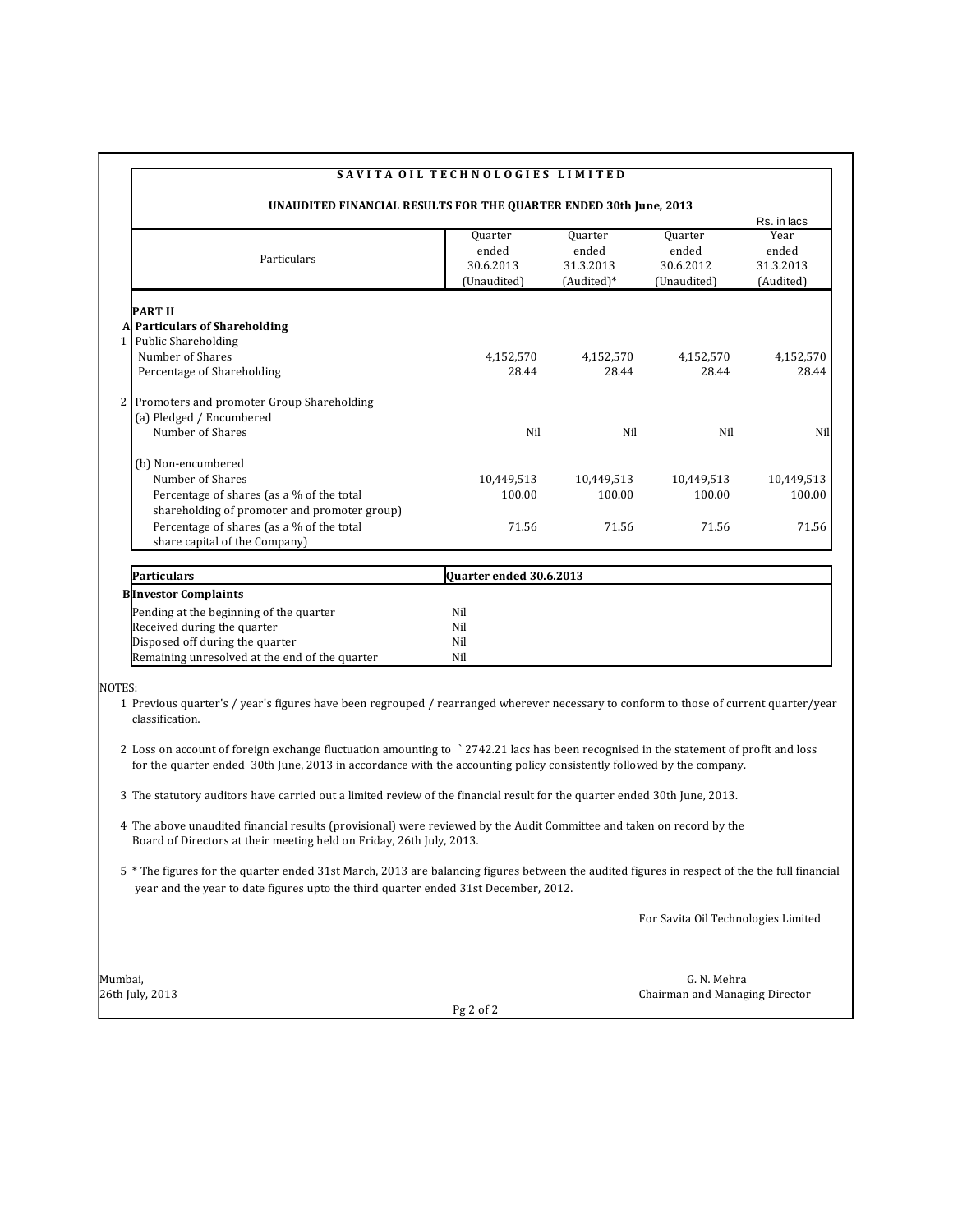|                                                                                                                                                                                                                                                              | SAVITA OIL TECHNOLOGIES LIMITED              |                                             |                                              |                                         |
|--------------------------------------------------------------------------------------------------------------------------------------------------------------------------------------------------------------------------------------------------------------|----------------------------------------------|---------------------------------------------|----------------------------------------------|-----------------------------------------|
| UNAUDITED FINANCIAL RESULTS FOR THE QUARTER ENDED 30th June, 2013                                                                                                                                                                                            |                                              |                                             |                                              | Rs. in lacs                             |
| Particulars                                                                                                                                                                                                                                                  | Quarter<br>ended<br>30.6.2013<br>(Unaudited) | Quarter<br>ended<br>31.3.2013<br>(Audited)* | Quarter<br>ended<br>30.6.2012<br>(Unaudited) | Year<br>ended<br>31.3.2013<br>(Audited) |
| PART II                                                                                                                                                                                                                                                      |                                              |                                             |                                              |                                         |
| A Particulars of Shareholding                                                                                                                                                                                                                                |                                              |                                             |                                              |                                         |
| 1 Public Shareholding                                                                                                                                                                                                                                        |                                              |                                             |                                              |                                         |
| Number of Shares<br>Percentage of Shareholding                                                                                                                                                                                                               | 4,152,570<br>28.44                           | 4,152,570<br>28.44                          | 4,152,570<br>28.44                           | 4,152,570<br>28.44                      |
| 2 <sub>1</sub><br>Promoters and promoter Group Shareholding                                                                                                                                                                                                  |                                              |                                             |                                              |                                         |
| (a) Pledged / Encumbered                                                                                                                                                                                                                                     |                                              |                                             |                                              |                                         |
| Number of Shares                                                                                                                                                                                                                                             | Nil                                          | Nil                                         | Nil                                          | Nil                                     |
| (b) Non-encumbered                                                                                                                                                                                                                                           |                                              |                                             |                                              |                                         |
| Number of Shares                                                                                                                                                                                                                                             | 10,449,513                                   | 10,449,513                                  | 10,449,513                                   | 10,449,513                              |
| Percentage of shares (as a % of the total                                                                                                                                                                                                                    | 100.00                                       | 100.00                                      | 100.00                                       | 100.00                                  |
| shareholding of promoter and promoter group)                                                                                                                                                                                                                 |                                              |                                             |                                              |                                         |
| Percentage of shares (as a % of the total                                                                                                                                                                                                                    | 71.56                                        | 71.56                                       | 71.56                                        | 71.56                                   |
| share capital of the Company)                                                                                                                                                                                                                                |                                              |                                             |                                              |                                         |
| Particulars                                                                                                                                                                                                                                                  | Quarter ended 30.6.2013                      |                                             |                                              |                                         |
| <b>B</b> Investor Complaints                                                                                                                                                                                                                                 |                                              |                                             |                                              |                                         |
| Pending at the beginning of the quarter                                                                                                                                                                                                                      | Nil                                          |                                             |                                              |                                         |
| Received during the quarter                                                                                                                                                                                                                                  | Nil                                          |                                             |                                              |                                         |
| Disposed off during the quarter                                                                                                                                                                                                                              | Nil                                          |                                             |                                              |                                         |
| Remaining unresolved at the end of the quarter                                                                                                                                                                                                               | Nil                                          |                                             |                                              |                                         |
| NOTES:                                                                                                                                                                                                                                                       |                                              |                                             |                                              |                                         |
| 1 Previous quarter's / year's figures have been regrouped / rearranged wherever necessary to conform to those of current quarter/year<br>classification.                                                                                                     |                                              |                                             |                                              |                                         |
| 2 Loss on account of foreign exchange fluctuation amounting to `2742.21 lacs has been recognised in the statement of profit and loss<br>for the quarter ended 30th June, 2013 in accordance with the accounting policy consistently followed by the company. |                                              |                                             |                                              |                                         |
| 3 The statutory auditors have carried out a limited review of the financial result for the quarter ended 30th June, 2013.                                                                                                                                    |                                              |                                             |                                              |                                         |
| 4 The above unaudited financial results (provisional) were reviewed by the Audit Committee and taken on record by the<br>Board of Directors at their meeting held on Friday, 26th July, 2013.                                                                |                                              |                                             |                                              |                                         |
| 5 * The figures for the quarter ended 31st March, 2013 are balancing figures between the audited figures in respect of the the full financial<br>year and the year to date figures upto the third quarter ended 31st December, 2012.                         |                                              |                                             |                                              |                                         |
|                                                                                                                                                                                                                                                              |                                              |                                             | For Savita Oil Technologies Limited          |                                         |
| Mumbai,                                                                                                                                                                                                                                                      |                                              |                                             | G. N. Mehra                                  |                                         |
| 26th July, 2013                                                                                                                                                                                                                                              |                                              |                                             | Chairman and Managing Director               |                                         |
|                                                                                                                                                                                                                                                              | Pg 2 of 2                                    |                                             |                                              |                                         |